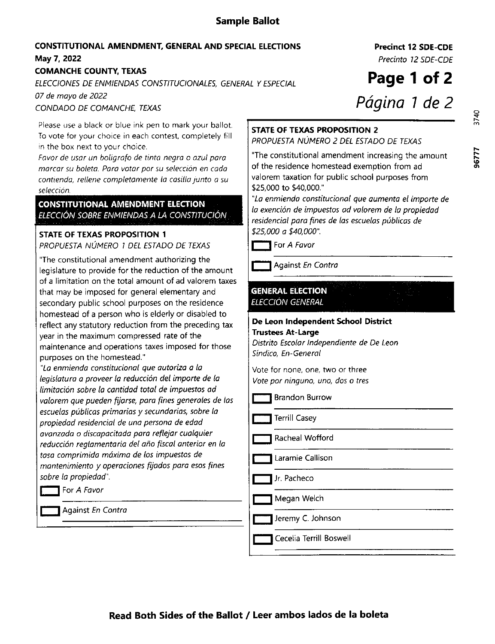# Sample Ballot

# CONSTITUTIONAL AMENDMENT, GENERAI AND SPECIAL EIECTIONS May 7, 2022

## COMANCHE COUNTY. TEXAS

ELECCIONES DE ENMIENDAS CONSTITUCIONALES, GENERAL Y ESPECIAL

07 de mayo de 2022

CONDADO DE COMANCHE, TEXAS

Please use a black or blue ink pen to mark your ballot. To vote for your choice in each contest, completely fill in the box next to your choice.

Favor de usar un bolígrafo de tinta negra o azul para marcar su boleta. Para votar por su selección en cada contienda, rellene completamente la casilla junto a su selección.

## **CONSTITUTIONAL AMENDMENT ELECTION** ELECCIÓN SOBRE ENMIENDAS A LA CONSTITUCIÓN

## STATE OF TEXAS PROPOSITION <sup>1</sup>

PROPUESTA NÚMERO 1 DEL ESTADO DE TEXAS

"The constitutional amendment authorizing the legislature to provide for the reduction of the amount of a limitation on the total amount of ad valorem taxes that may be imposed for general elementary and secondary public school purposes on the residence homestead of a person who is elderly or disabled to reflect any statutory reduction from the preceding tax year in the maximum compressed rate of the maintenance and operations taxes imposed for those purposes on the homestead."

"La enmienda constitucional que autoriza a la legislatura a proveer la reducción del importe de la limitación sobre la cantidad total de impuestos ad valorem que pueden fijarse, para fines generales de las escuelas públicas primarias y secundarias, sobre la propiedod residenciol de uno persono de edad ovonzado o discapocitada para reflejar cuolquier reducción reglamentaria del año fiscal anterior en la tasa comprimida máxima de los impuestos de mantenimiento y operaciones fijados para esos fines sobre la propiedad".

**T** For A Favor

Aqainst En Contra

Precinct 12 SDE-CDE

Precinto 12 SDE-CDE

Page 1 of 2 Página 1 de 2

96777

### STATE OF TEXAS PROFOSITION 2

PROPUESTA NÚMERO 2 DEL ESTADO DE TEXAS

"The constitutional amendment increasing the amount of the residence homestead exemption from ad valorem taxation for public school purposes from \$25,000 to \$40,000."

"La enmienda constitucional que oumento el importe de la exención de impuestos ad valorem de la propiedad residenciol poro fines de las escuelos piblicas de \$25,000 a \$40,000".

**T** For A Favor

Against En Contra

#### **GENERAL ELECTION** ELECCIÓN GENERAL

#### De Leon Independent School District **Trustees At-Large**

Distrito Escolar lndependiente de De Leon Síndico, En-General

Vote for none, one, two or three Vote por ninguno, uno, dos o tres

Brandon Burrow

**Terrill Casey** 

Racheal Wofford

Laramie Callison

Jr. Pacheco

Megan Welch

Jeremy C. Johnson

Cecelia Terrill Boswell